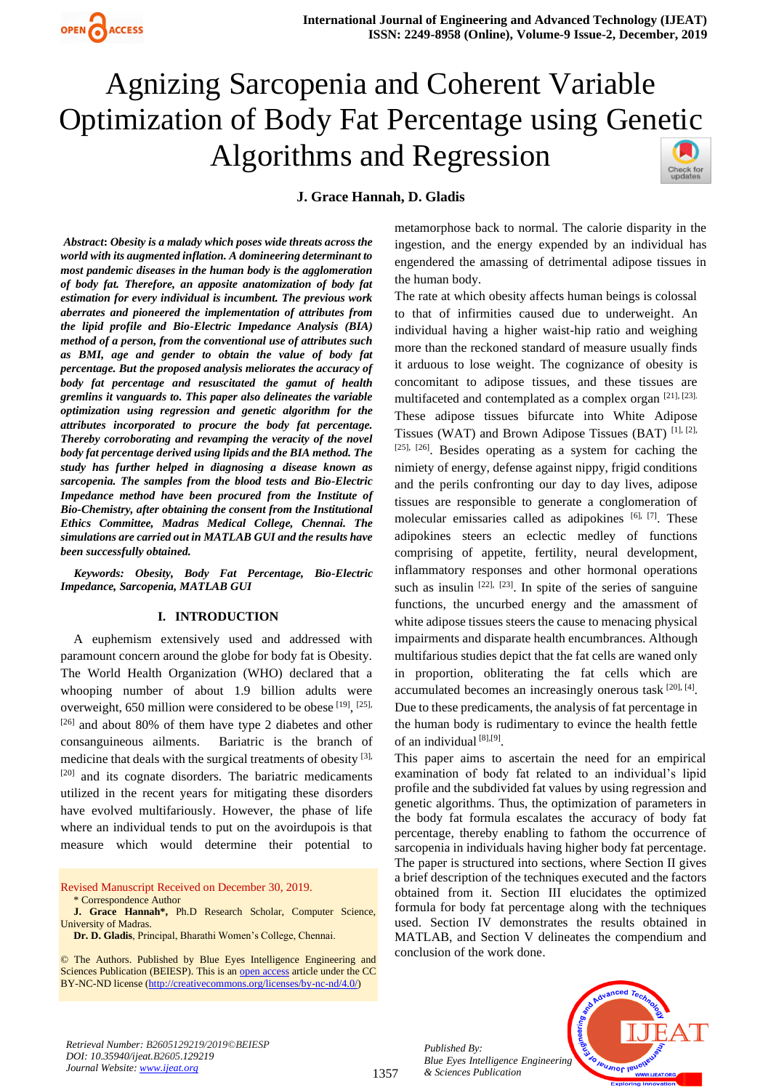

# Agnizing Sarcopenia and Coherent Variable Optimization of Body Fat Percentage using Genetic Algorithms and Regression

#### **J. Grace Hannah, D. Gladis**

Check for<br>updates

 *Abstract***:** *Obesity is a malady which poses wide threats across the world with its augmented inflation. A domineering determinant to most pandemic diseases in the human body is the agglomeration of body fat. Therefore, an apposite anatomization of body fat estimation for every individual is incumbent. The previous work aberrates and pioneered the implementation of attributes from the lipid profile and Bio-Electric Impedance Analysis (BIA) method of a person, from the conventional use of attributes such as BMI, age and gender to obtain the value of body fat percentage. But the proposed analysis meliorates the accuracy of body fat percentage and resuscitated the gamut of health gremlins it vanguards to. This paper also delineates the variable optimization using regression and genetic algorithm for the attributes incorporated to procure the body fat percentage. Thereby corroborating and revamping the veracity of the novel body fat percentage derived using lipids and the BIA method. The study has further helped in diagnosing a disease known as sarcopenia. The samples from the blood tests and Bio-Electric Impedance method have been procured from the Institute of Bio-Chemistry, after obtaining the consent from the Institutional Ethics Committee, Madras Medical College, Chennai. The simulations are carried out in MATLAB GUI and the results have been successfully obtained.*

*Keywords: Obesity, Body Fat Percentage, Bio-Electric Impedance, Sarcopenia, MATLAB GUI*

#### **I. INTRODUCTION**

A euphemism extensively used and addressed with paramount concern around the globe for body fat is Obesity. The World Health Organization (WHO) declared that a whooping number of about 1.9 billion adults were overweight, 650 million were considered to be obese [19], [25], [26] and about 80% of them have type 2 diabetes and other consanguineous ailments. Bariatric is the branch of medicine that deals with the surgical treatments of obesity  $[3]$ , [20] and its cognate disorders. The bariatric medicaments utilized in the recent years for mitigating these disorders have evolved multifariously. However, the phase of life where an individual tends to put on the avoirdupois is that measure which would determine their potential to

Revised Manuscript Received on December 30, 2019. \* Correspondence Author

**J. Grace Hannah\*,** Ph.D Research Scholar, Computer Science, University of Madras.

© The Authors. Published by Blue Eyes Intelligence Engineering and Sciences Publication (BEIESP). This is a[n open access](https://www.openaccess.nl/en/open-publications) article under the CC BY-NC-ND license [\(http://creativecommons.org/licenses/by-nc-nd/4.0/\)](http://creativecommons.org/licenses/by-nc-nd/4.0/)

metamorphose back to normal. The calorie disparity in the ingestion, and the energy expended by an individual has engendered the amassing of detrimental adipose tissues in the human body.

The rate at which obesity affects human beings is colossal to that of infirmities caused due to underweight. An individual having a higher waist-hip ratio and weighing more than the reckoned standard of measure usually finds it arduous to lose weight. The cognizance of obesity is concomitant to adipose tissues, and these tissues are multifaceted and contemplated as a complex organ [21], [23]. These adipose tissues bifurcate into White Adipose Tissues (WAT) and Brown Adipose Tissues (BAT) [1], [2],  $[25]$ ,  $[26]$ . Besides operating as a system for caching the nimiety of energy, defense against nippy, frigid conditions and the perils confronting our day to day lives, adipose tissues are responsible to generate a conglomeration of molecular emissaries called as adipokines [6], [7]. These adipokines steers an eclectic medley of functions comprising of appetite, fertility, neural development, inflammatory responses and other hormonal operations such as insulin  $[22]$ ,  $[23]$ . In spite of the series of sanguine functions, the uncurbed energy and the amassment of white adipose tissues steers the cause to menacing physical impairments and disparate health encumbrances. Although multifarious studies depict that the fat cells are waned only in proportion, obliterating the fat cells which are accumulated becomes an increasingly onerous task [20], [4]. Due to these predicaments, the analysis of fat percentage in the human body is rudimentary to evince the health fettle of an individual [8],[9].

This paper aims to ascertain the need for an empirical examination of body fat related to an individual's lipid profile and the subdivided fat values by using regression and genetic algorithms. Thus, the optimization of parameters in the body fat formula escalates the accuracy of body fat percentage, thereby enabling to fathom the occurrence of sarcopenia in individuals having higher body fat percentage. The paper is structured into sections, where Section II gives a brief description of the techniques executed and the factors obtained from it. Section III elucidates the optimized formula for body fat percentage along with the techniques used. Section IV demonstrates the results obtained in MATLAB, and Section V delineates the compendium and conclusion of the work done.

*Retrieval Number: B2605129219/2019©BEIESP DOI: 10.35940/ijeat.B2605.129219 Journal Website: [www.ijeat.org](http://www.ijeat.org/)*



*Published By: Blue Eyes Intelligence Engineering & Sciences Publication* 



**Dr. D. Gladis**, Principal, Bharathi Women's College, Chennai.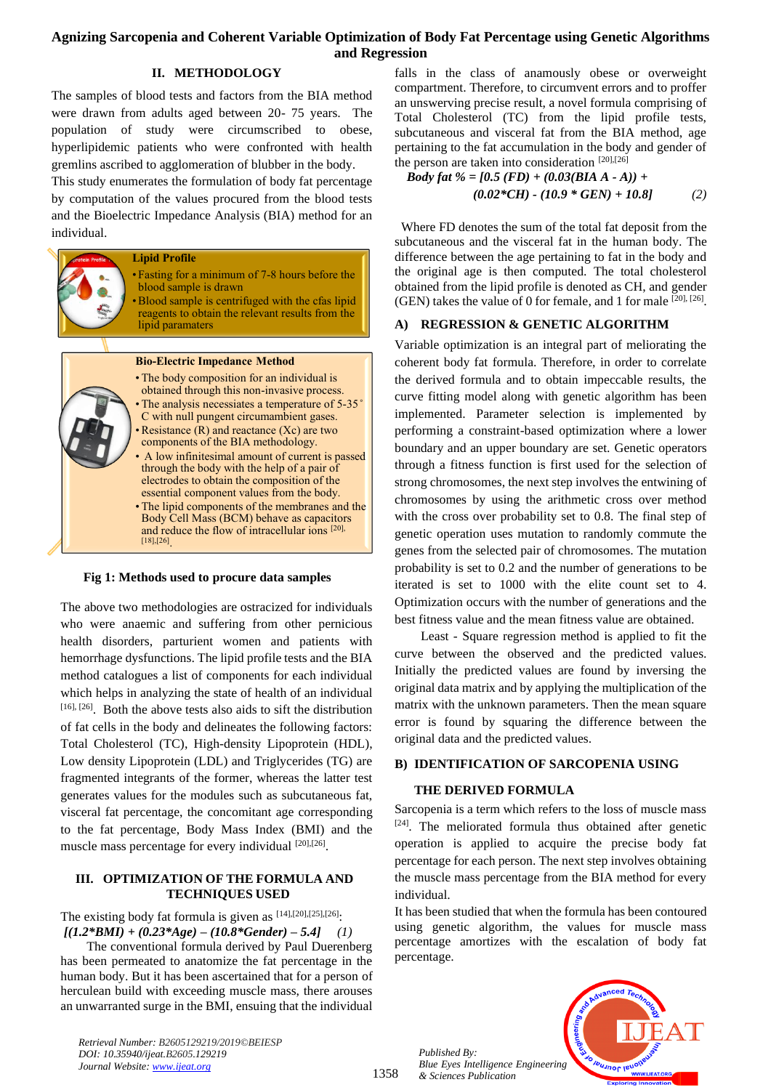# **Agnizing Sarcopenia and Coherent Variable Optimization of Body Fat Percentage using Genetic Algorithms and Regression**

## **II. METHODOLOGY**

The samples of blood tests and factors from the BIA method were drawn from adults aged between 20- 75 years. The population of study were circumscribed to obese, hyperlipidemic patients who were confronted with health gremlins ascribed to agglomeration of blubber in the body.

This study enumerates the formulation of body fat percentage by computation of the values procured from the blood tests and the Bioelectric Impedance Analysis (BIA) method for an individual.



#### **Fig 1: Methods used to procure data samples**

The above two methodologies are ostracized for individuals who were anaemic and suffering from other pernicious health disorders, parturient women and patients with hemorrhage dysfunctions. The lipid profile tests and the BIA method catalogues a list of components for each individual which helps in analyzing the state of health of an individual [16], [26]. Both the above tests also aids to sift the distribution of fat cells in the body and delineates the following factors: Total Cholesterol (TC), High-density Lipoprotein (HDL), Low density Lipoprotein (LDL) and Triglycerides (TG) are fragmented integrants of the former, whereas the latter test generates values for the modules such as subcutaneous fat, visceral fat percentage, the concomitant age corresponding to the fat percentage, Body Mass Index (BMI) and the muscle mass percentage for every individual [20],[26].

#### **III. OPTIMIZATION OF THE FORMULA AND TECHNIQUES USED**

The existing body fat formula is given as  $[14]$ , $[20]$ , $[25]$ , $[26]$ .  $[(1.2*BMI) + (0.23*Age) - (10.8*Gender) - 5.4]$  (1)

The conventional formula derived by Paul Duerenberg has been permeated to anatomize the fat percentage in the human body. But it has been ascertained that for a person of herculean build with exceeding muscle mass, there arouses an unwarranted surge in the BMI, ensuing that the individual

falls in the class of anamously obese or overweight compartment. Therefore, to circumvent errors and to proffer an unswerving precise result, a novel formula comprising of Total Cholesterol (TC) from the lipid profile tests, subcutaneous and visceral fat from the BIA method, age pertaining to the fat accumulation in the body and gender of the person are taken into consideration  $[20],[26]$ 

Body fat % = 
$$
[0.5 (FD) + (0.03(BIA A - A)) +
$$
  
(0.02\*CH) - (10.9\* GEN) + 10.8] (2)

 Where FD denotes the sum of the total fat deposit from the subcutaneous and the visceral fat in the human body. The difference between the age pertaining to fat in the body and the original age is then computed. The total cholesterol obtained from the lipid profile is denoted as CH, and gender (GEN) takes the value of 0 for female, and 1 for male [20], [26] .

## **A) REGRESSION & GENETIC ALGORITHM**

Variable optimization is an integral part of meliorating the coherent body fat formula. Therefore, in order to correlate the derived formula and to obtain impeccable results, the curve fitting model along with genetic algorithm has been implemented. Parameter selection is implemented by performing a constraint-based optimization where a lower boundary and an upper boundary are set. Genetic operators through a fitness function is first used for the selection of strong chromosomes, the next step involves the entwining of chromosomes by using the arithmetic cross over method with the cross over probability set to 0.8. The final step of genetic operation uses mutation to randomly commute the genes from the selected pair of chromosomes. The mutation probability is set to 0.2 and the number of generations to be iterated is set to 1000 with the elite count set to 4. Optimization occurs with the number of generations and the best fitness value and the mean fitness value are obtained.

Least - Square regression method is applied to fit the curve between the observed and the predicted values. Initially the predicted values are found by inversing the original data matrix and by applying the multiplication of the matrix with the unknown parameters. Then the mean square error is found by squaring the difference between the original data and the predicted values.

## **B) IDENTIFICATION OF SARCOPENIA USING**

#### **THE DERIVED FORMULA**

Sarcopenia is a term which refers to the loss of muscle mass [24]. The meliorated formula thus obtained after genetic operation is applied to acquire the precise body fat percentage for each person. The next step involves obtaining the muscle mass percentage from the BIA method for every individual.

It has been studied that when the formula has been contoured using genetic algorithm, the values for muscle mass percentage amortizes with the escalation of body fat percentage.

*Published By: Blue Eyes Intelligence Engineering & Sciences Publication* 

1358



*Retrieval Number: B2605129219/2019©BEIESP DOI: 10.35940/ijeat.B2605.129219 Journal Website[: www.ijeat.org](http://www.ijeat.org/)*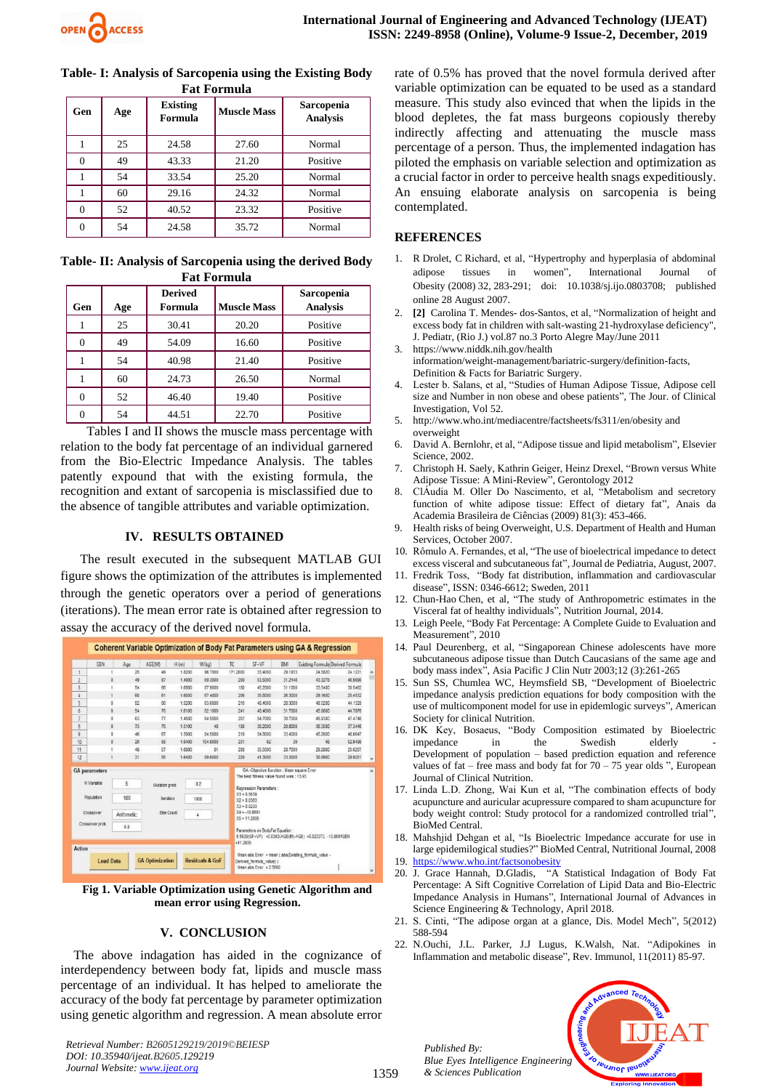| Table- I: Analysis of Sarcopenia using the Existing Body |
|----------------------------------------------------------|
| <b>Fat Formula</b>                                       |

| Gen | Age | <b>Existing</b><br>Formula | <b>Muscle Mass</b> | Sarcopenia<br><b>Analysis</b> |
|-----|-----|----------------------------|--------------------|-------------------------------|
|     | 25  | 24.58                      | 27.60              | Normal                        |
|     | 49  | 43.33                      | 21.20              | Positive                      |
|     | 54  | 33.54                      | 25.20              | Normal                        |
|     | 60  | 29.16                      | 24.32              | Normal                        |
| 0   | 52  | 40.52                      | 23.32              | Positive                      |
| 0   | 54  | 24.58                      | 35.72              | Normal                        |

**Table- II: Analysis of Sarcopenia using the derived Body Fat Formula**

| Gen | Age | <b>Derived</b><br>Formula | <b>Muscle Mass</b> | Sarcopenia<br><b>Analysis</b> |
|-----|-----|---------------------------|--------------------|-------------------------------|
|     | 25  | 30.41                     | 20.20              | Positive                      |
| 0   | 49  | 54.09                     | 16.60              | Positive                      |
|     | 54  | 40.98                     | 21.40              | Positive                      |
|     | 60  | 24.73                     | 26.50              | Normal                        |
| 0   | 52  | 46.40                     | 19.40              | Positive                      |
|     | 54  | 44.51                     | 22.70              | Positive                      |

Tables I and II shows the muscle mass percentage with relation to the body fat percentage of an individual garnered from the Bio-Electric Impedance Analysis. The tables patently expound that with the existing formula, the recognition and extant of sarcopenia is misclassified due to the absence of tangible attributes and variable optimization.

#### **IV. RESULTS OBTAINED**

 The result executed in the subsequent MATLAB GUI figure shows the optimization of the attributes is implemented through the genetic operators over a period of generations (iterations). The mean error rate is obtained after regression to assay the accuracy of the derived novel formula.

| 25<br>18200<br>96,7000<br>171,2000<br>29,1933<br>24,5820<br>1<br>49<br>33 4000<br>Ż<br>87<br>0<br>49<br>1,4900<br>69,3000<br>53,5000<br>31,2148<br>43.3278<br>209<br>3<br>54<br><b>B7,9000</b><br>66<br>1,6800<br>180<br>45,2000<br>31,1000<br>33 5400<br>61<br>4<br>60<br>1,6000<br>67,4000<br>206<br>35,8000<br>26 3000<br>29,1600<br>$\overline{5}$<br>52<br>66<br>1,5200<br>63,6000<br>216<br>48,4000<br>28,3000<br>40,5200<br>ŏ<br>ö<br>$\ddot{6}$<br>54<br>70<br>31,7000<br>1,6100<br>82,1000<br>241<br>48,4000<br>45.0600<br>$\overline{7}$<br>77<br>ö<br>63<br>1,4500<br>64,5000<br>207<br>54,7000<br>30.7000<br>45,9300<br>8<br>$\theta$<br>73<br>70<br>48<br>1,5100<br>198<br>38,2000<br>20,8000<br>36,3500<br>9<br>84,5000<br>ō<br>46<br>87<br>1,5900<br>219<br>54,8000<br>33,4000<br>45,2600<br>$\mathfrak{a}$<br>10<br>20<br>56<br>104,8000<br>231<br>62<br>39<br>16400<br>46<br>11<br>57<br>48<br>1,6800<br>81<br>208<br>35,5000<br>28,7000<br>29,2800<br>12<br>31<br>\$6<br>1,6400<br>89,6000<br>229<br>41.3000<br>33 3000<br>30,8900<br>GA -Objective function : Mean square Error<br><b>GA</b> parameters<br>The best finess value found was: 13.93<br>5<br>N Variable<br>0.2<br>Mutation prob<br>Recression Parameters:<br>$X1 = 0.5839$<br>Population<br>100<br>teration<br>1000<br>$X2 = 0.0363$<br>$X3 = 0.0233$<br>$X4 = -10.0891$<br><b>Elte Count</b><br>Crossover<br>Arithmetic<br>4<br>$X5 = 11.2935$ |  | GFN | Age | AGE(M) | H(m) | W(kg)                                                   | TC. | SF+VF | <b>BMI</b> | Existing Formula Derived Formula |         |           |
|---------------------------------------------------------------------------------------------------------------------------------------------------------------------------------------------------------------------------------------------------------------------------------------------------------------------------------------------------------------------------------------------------------------------------------------------------------------------------------------------------------------------------------------------------------------------------------------------------------------------------------------------------------------------------------------------------------------------------------------------------------------------------------------------------------------------------------------------------------------------------------------------------------------------------------------------------------------------------------------------------------------------------------------------------------------------------------------------------------------------------------------------------------------------------------------------------------------------------------------------------------------------------------------------------------------------------------------------------------------------------------------------------------------------------------|--|-----|-----|--------|------|---------------------------------------------------------|-----|-------|------------|----------------------------------|---------|-----------|
|                                                                                                                                                                                                                                                                                                                                                                                                                                                                                                                                                                                                                                                                                                                                                                                                                                                                                                                                                                                                                                                                                                                                                                                                                                                                                                                                                                                                                                 |  |     |     |        |      |                                                         |     |       |            |                                  | 24 1221 | $\lambda$ |
|                                                                                                                                                                                                                                                                                                                                                                                                                                                                                                                                                                                                                                                                                                                                                                                                                                                                                                                                                                                                                                                                                                                                                                                                                                                                                                                                                                                                                                 |  |     |     |        |      |                                                         |     |       |            |                                  | 46,9896 |           |
|                                                                                                                                                                                                                                                                                                                                                                                                                                                                                                                                                                                                                                                                                                                                                                                                                                                                                                                                                                                                                                                                                                                                                                                                                                                                                                                                                                                                                                 |  |     |     |        |      |                                                         |     |       |            |                                  | 30,5462 |           |
|                                                                                                                                                                                                                                                                                                                                                                                                                                                                                                                                                                                                                                                                                                                                                                                                                                                                                                                                                                                                                                                                                                                                                                                                                                                                                                                                                                                                                                 |  |     |     |        |      |                                                         |     |       |            |                                  | 25.4532 |           |
|                                                                                                                                                                                                                                                                                                                                                                                                                                                                                                                                                                                                                                                                                                                                                                                                                                                                                                                                                                                                                                                                                                                                                                                                                                                                                                                                                                                                                                 |  |     |     |        |      |                                                         |     |       |            |                                  | 44.1320 |           |
|                                                                                                                                                                                                                                                                                                                                                                                                                                                                                                                                                                                                                                                                                                                                                                                                                                                                                                                                                                                                                                                                                                                                                                                                                                                                                                                                                                                                                                 |  |     |     |        |      |                                                         |     |       |            |                                  | 44.7876 |           |
|                                                                                                                                                                                                                                                                                                                                                                                                                                                                                                                                                                                                                                                                                                                                                                                                                                                                                                                                                                                                                                                                                                                                                                                                                                                                                                                                                                                                                                 |  |     |     |        |      |                                                         |     |       |            |                                  | 47.4746 |           |
|                                                                                                                                                                                                                                                                                                                                                                                                                                                                                                                                                                                                                                                                                                                                                                                                                                                                                                                                                                                                                                                                                                                                                                                                                                                                                                                                                                                                                                 |  |     |     |        |      |                                                         |     |       |            |                                  | 37,3440 |           |
|                                                                                                                                                                                                                                                                                                                                                                                                                                                                                                                                                                                                                                                                                                                                                                                                                                                                                                                                                                                                                                                                                                                                                                                                                                                                                                                                                                                                                                 |  |     |     |        |      |                                                         |     |       |            |                                  | 48,0647 |           |
|                                                                                                                                                                                                                                                                                                                                                                                                                                                                                                                                                                                                                                                                                                                                                                                                                                                                                                                                                                                                                                                                                                                                                                                                                                                                                                                                                                                                                                 |  |     |     |        |      |                                                         |     |       |            |                                  | 52,9486 |           |
|                                                                                                                                                                                                                                                                                                                                                                                                                                                                                                                                                                                                                                                                                                                                                                                                                                                                                                                                                                                                                                                                                                                                                                                                                                                                                                                                                                                                                                 |  |     |     |        |      |                                                         |     |       |            |                                  | 25,6207 |           |
|                                                                                                                                                                                                                                                                                                                                                                                                                                                                                                                                                                                                                                                                                                                                                                                                                                                                                                                                                                                                                                                                                                                                                                                                                                                                                                                                                                                                                                 |  |     |     |        |      |                                                         |     |       |            |                                  | 29.9251 |           |
| Crossover prob<br>0.8<br>Parameters on BodyFat Equation:<br>$+11.2935$                                                                                                                                                                                                                                                                                                                                                                                                                                                                                                                                                                                                                                                                                                                                                                                                                                                                                                                                                                                                                                                                                                                                                                                                                                                                                                                                                          |  |     |     |        |      | 0.5639(SF+VF) +0.0363(AGE(M)-AGE) +0.0233TC -10.8691GEN |     |       |            |                                  |         |           |

**Fig 1. Variable Optimization using Genetic Algorithm and mean error using Regression.**

#### **V. CONCLUSION**

The above indagation has aided in the cognizance of interdependency between body fat, lipids and muscle mass percentage of an individual. It has helped to ameliorate the accuracy of the body fat percentage by parameter optimization using genetic algorithm and regression. A mean absolute error

*Retrieval Number: B2605129219/2019©BEIESP DOI: 10.35940/ijeat.B2605.129219 Journal Website: [www.ijeat.org](http://www.ijeat.org/)*

rate of 0.5% has proved that the novel formula derived after variable optimization can be equated to be used as a standard measure. This study also evinced that when the lipids in the blood depletes, the fat mass burgeons copiously thereby indirectly affecting and attenuating the muscle mass percentage of a person. Thus, the implemented indagation has piloted the emphasis on variable selection and optimization as a crucial factor in order to perceive health snags expeditiously. An ensuing elaborate analysis on sarcopenia is being contemplated.

#### **REFERENCES**

- 1. R Drolet, C Richard, et al, "Hypertrophy and hyperplasia of abdominal adipose tissues in women", International Journal of Obesity (2008) 32, 283-291; doi: 10.1038/sj.ijo.0803708; published online 28 August 2007.
- 2. **[2]** Carolina T. Mendes- dos-Santos, et al, "Normalization of height and excess body fat in children with salt-wasting 21-hydroxylase deficiency", J. Pediatr, (Rio J.) vol.87 no.3 Porto Alegre May/June 2011
- 3. https://www.niddk.nih.gov/health information/weight-management/bariatric-surgery/definition-facts, Definition & Facts for Bariatric Surgery.
- Lester b. Salans, et al, "Studies of Human Adipose Tissue, Adipose cell size and Number in non obese and obese patients", The Jour. of Clinical Investigation, Vol 52.
- 5. http://www.who.int/mediacentre/factsheets/fs311/en/obesity and overweight
- 6. David A. Bernlohr, et al, "Adipose tissue and lipid metabolism", Elsevier Science, 2002.
- 7. Christoph H. Saely, Kathrin Geiger, Heinz Drexel, "Brown versus White Adipose Tissue: A Mini-Review", Gerontology 2012
- 8. ClÁudia M. Oller Do Nascimento, et al, "Metabolism and secretory function of white adipose tissue: Effect of dietary fat", Anais da Academia Brasileira de Ciências (2009) 81(3): 453-466.
- 9. Health risks of being Overweight, U.S. Department of Health and Human Services, October 2007.
- 10. Rômulo A. Fernandes, et al, "The use of bioelectrical impedance to detect excess visceral and subcutaneous fat", Journal de Pediatria, August, 2007.
- 11. Fredrik Toss, "Body fat distribution, inflammation and cardiovascular disease", ISSN: 0346-6612; Sweden, 2011
- 12. Chun-Hao Chen, et al, "The study of Anthropometric estimates in the Visceral fat of healthy individuals", Nutrition Journal, 2014.
- 13. Leigh Peele, "Body Fat Percentage: A Complete Guide to Evaluation and Measurement", 2010
- 14. Paul Deurenberg, et al, "Singaporean Chinese adolescents have more subcutaneous adipose tissue than Dutch Caucasians of the same age and body mass index", Asia Pacific J Clin Nutr 2003;12 (3):261-265
- 15. Sun SS, Chumlea WC, Heymsfield SB, "Development of Bioelectric impedance analysis prediction equations for body composition with the use of multicomponent model for use in epidemlogic surveys", American Society for clinical Nutrition.
- 16. DK Key, Bosaeus, "Body Composition estimated by Bioelectric impedance in the Swedish elderly Development of population – based prediction equation and reference values of fat – free mass and body fat for  $70 - 75$  year olds ", European Journal of Clinical Nutrition.
- 17. Linda L.D. Zhong, Wai Kun et al, "The combination effects of body acupuncture and auricular acupressure compared to sham acupuncture for body weight control: Study protocol for a randomized controlled trial", BioMed Central.
- 18. Mahshjid Dehgan et al, "Is Bioelectric Impedance accurate for use in large epidemilogical studies?" BioMed Central, Nutritional Journal, 2008
- 19. <https://www.who.int/factsonobesity>
- 20. J. Grace Hannah, D.Gladis, "A Statistical Indagation of Body Fat Percentage: A Sift Cognitive Correlation of Lipid Data and Bio-Electric Impedance Analysis in Humans", International Journal of Advances in Science Engineering & Technology, April 2018.
- 21. S. Cinti, "The adipose organ at a glance, Dis. Model Mech", 5(2012) 588-594
- 22. N.Ouchi, J.L. Parker, J.J Lugus, K.Walsh, Nat. "Adipokines in Inflammation and metabolic disease", Rev. Immunol, 11(2011) 85-97.



*Published By: Blue Eyes Intelligence Engineering & Sciences Publication*